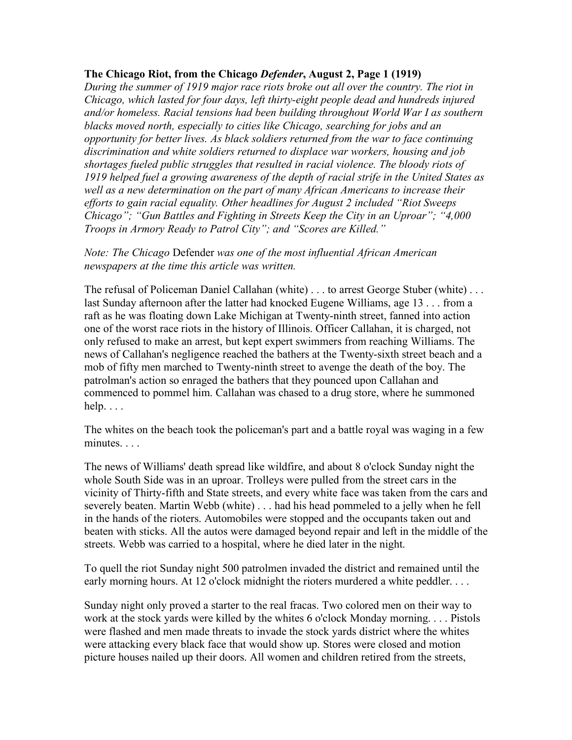## **The Chicago Riot, from the Chicago** *Defender***, August 2, Page 1 (1919)**

*During the summer of 1919 major race riots broke out all over the country. The riot in Chicago, which lasted for four days, left thirty-eight people dead and hundreds injured and/or homeless. Racial tensions had been building throughout World War I as southern blacks moved north, especially to cities like Chicago, searching for jobs and an opportunity for better lives. As black soldiers returned from the war to face continuing discrimination and white soldiers returned to displace war workers, housing and job shortages fueled public struggles that resulted in racial violence. The bloody riots of 1919 helped fuel a growing awareness of the depth of racial strife in the United States as well as a new determination on the part of many African Americans to increase their efforts to gain racial equality. Other headlines for August 2 included "Riot Sweeps Chicago"; "Gun Battles and Fighting in Streets Keep the City in an Uproar"; "4,000 Troops in Armory Ready to Patrol City"; and "Scores are Killed."*

*Note: The Chicago* Defender *was one of the most influential African American newspapers at the time this article was written.*

The refusal of Policeman Daniel Callahan (white) . . . to arrest George Stuber (white) . . . last Sunday afternoon after the latter had knocked Eugene Williams, age 13 . . . from a raft as he was floating down Lake Michigan at Twenty-ninth street, fanned into action one of the worst race riots in the history of Illinois. Officer Callahan, it is charged, not only refused to make an arrest, but kept expert swimmers from reaching Williams. The news of Callahan's negligence reached the bathers at the Twenty-sixth street beach and a mob of fifty men marched to Twenty-ninth street to avenge the death of the boy. The patrolman's action so enraged the bathers that they pounced upon Callahan and commenced to pommel him. Callahan was chased to a drug store, where he summoned  $help. \ldots$ 

The whites on the beach took the policeman's part and a battle royal was waging in a few minutes. . . .

The news of Williams' death spread like wildfire, and about 8 o'clock Sunday night the whole South Side was in an uproar. Trolleys were pulled from the street cars in the vicinity of Thirty-fifth and State streets, and every white face was taken from the cars and severely beaten. Martin Webb (white) . . . had his head pommeled to a jelly when he fell in the hands of the rioters. Automobiles were stopped and the occupants taken out and beaten with sticks. All the autos were damaged beyond repair and left in the middle of the streets. Webb was carried to a hospital, where he died later in the night.

To quell the riot Sunday night 500 patrolmen invaded the district and remained until the early morning hours. At 12 o'clock midnight the rioters murdered a white peddler. . . .

Sunday night only proved a starter to the real fracas. Two colored men on their way to work at the stock yards were killed by the whites 6 o'clock Monday morning. . . . Pistols were flashed and men made threats to invade the stock yards district where the whites were attacking every black face that would show up. Stores were closed and motion picture houses nailed up their doors. All women and children retired from the streets,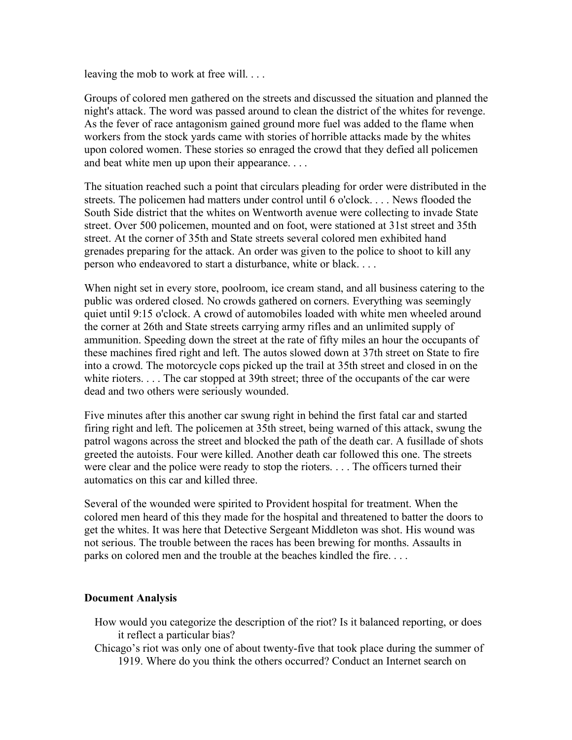leaving the mob to work at free will....

Groups of colored men gathered on the streets and discussed the situation and planned the night's attack. The word was passed around to clean the district of the whites for revenge. As the fever of race antagonism gained ground more fuel was added to the flame when workers from the stock yards came with stories of horrible attacks made by the whites upon colored women. These stories so enraged the crowd that they defied all policemen and beat white men up upon their appearance. . . .

The situation reached such a point that circulars pleading for order were distributed in the streets. The policemen had matters under control until 6 o'clock. . . . News flooded the South Side district that the whites on Wentworth avenue were collecting to invade State street. Over 500 policemen, mounted and on foot, were stationed at 31st street and 35th street. At the corner of 35th and State streets several colored men exhibited hand grenades preparing for the attack. An order was given to the police to shoot to kill any person who endeavored to start a disturbance, white or black. . . .

When night set in every store, poolroom, ice cream stand, and all business catering to the public was ordered closed. No crowds gathered on corners. Everything was seemingly quiet until 9:15 o'clock. A crowd of automobiles loaded with white men wheeled around the corner at 26th and State streets carrying army rifles and an unlimited supply of ammunition. Speeding down the street at the rate of fifty miles an hour the occupants of these machines fired right and left. The autos slowed down at 37th street on State to fire into a crowd. The motorcycle cops picked up the trail at 35th street and closed in on the white rioters. . . . The car stopped at 39th street; three of the occupants of the car were dead and two others were seriously wounded.

Five minutes after this another car swung right in behind the first fatal car and started firing right and left. The policemen at 35th street, being warned of this attack, swung the patrol wagons across the street and blocked the path of the death car. A fusillade of shots greeted the autoists. Four were killed. Another death car followed this one. The streets were clear and the police were ready to stop the rioters. . . . The officers turned their automatics on this car and killed three.

Several of the wounded were spirited to Provident hospital for treatment. When the colored men heard of this they made for the hospital and threatened to batter the doors to get the whites. It was here that Detective Sergeant Middleton was shot. His wound was not serious. The trouble between the races has been brewing for months. Assaults in parks on colored men and the trouble at the beaches kindled the fire. . . .

## **Document Analysis**

- How would you categorize the description of the riot? Is it balanced reporting, or does it reflect a particular bias?
- Chicago's riot was only one of about twenty-five that took place during the summer of 1919. Where do you think the others occurred? Conduct an Internet search on